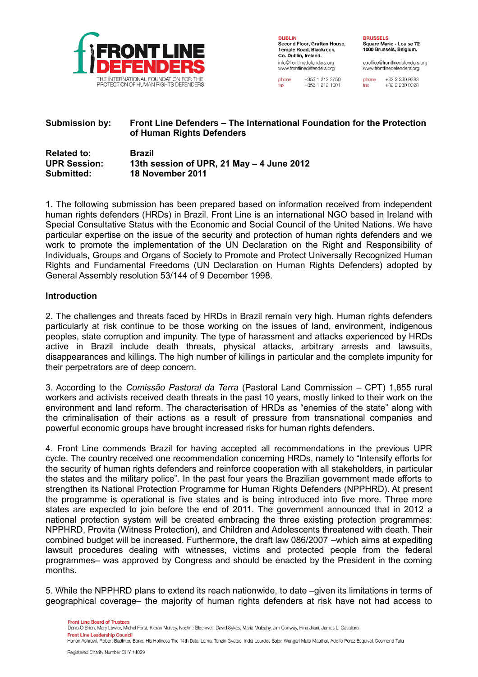

**DURLIN** Second Floor, Grattan House, Temple Road, Blackrock, Co. Dublin, Ireland. info@frontlinedefenders.org www.frontlinedefenders.org

euoffice@frontlinedefenders.org www.frontlinedefenders.org

+353 1 212 3750 phone +353 1 212 1001

fax

+32 2 230 9383 phone +32 2 230 0028 fax

# **Submission by: Front Line Defenders – The International Foundation for the Protection of Human Rights Defenders**

| <b>Related to:</b>  | <b>Brazil</b>                             |
|---------------------|-------------------------------------------|
| <b>UPR Session:</b> | 13th session of UPR, 21 May - 4 June 2012 |
| Submitted:          | 18 November 2011                          |

1. The following submission has been prepared based on information received from independent human rights defenders (HRDs) in Brazil. Front Line is an international NGO based in Ireland with Special Consultative Status with the Economic and Social Council of the United Nations. We have particular expertise on the issue of the security and protection of human rights defenders and we work to promote the implementation of the UN Declaration on the Right and Responsibility of Individuals, Groups and Organs of Society to Promote and Protect Universally Recognized Human Rights and Fundamental Freedoms (UN Declaration on Human Rights Defenders) adopted by General Assembly resolution 53/144 of 9 December 1998.

#### **Introduction**

2. The challenges and threats faced by HRDs in Brazil remain very high. Human rights defenders particularly at risk continue to be those working on the issues of land, environment, indigenous peoples, state corruption and impunity. The type of harassment and attacks experienced by HRDs active in Brazil include death threats, physical attacks, arbitrary arrests and lawsuits, disappearances and killings. The high number of killings in particular and the complete impunity for their perpetrators are of deep concern.

3. According to the *Comissão Pastoral da Terra* (Pastoral Land Commission – CPT) 1,855 rural workers and activists received death threats in the past 10 years, mostly linked to their work on the environment and land reform. The characterisation of HRDs as "enemies of the state" along with the criminalisation of their actions as a result of pressure from transnational companies and powerful economic groups have brought increased risks for human rights defenders.

4. Front Line commends Brazil for having accepted all recommendations in the previous UPR cycle. The country received one recommendation concerning HRDs, namely to "Intensify efforts for the security of human rights defenders and reinforce cooperation with all stakeholders, in particular the states and the military police". In the past four years the Brazilian government made efforts to strengthen its National Protection Programme for Human Rights Defenders (NPPHRD). At present the programme is operational is five states and is being introduced into five more. Three more states are expected to join before the end of 2011. The government announced that in 2012 a national protection system will be created embracing the three existing protection programmes: NPPHRD, Provita (Witness Protection), and Children and Adolescents threatened with death. Their combined budget will be increased. Furthermore, the draft law 086/2007 –which aims at expediting lawsuit procedures dealing with witnesses, victims and protected people from the federal programmes– was approved by Congress and should be enacted by the President in the coming months.

5. While the NPPHRD plans to extend its reach nationwide, to date –given its limitations in terms of geographical coverage– the majority of human rights defenders at risk have not had access to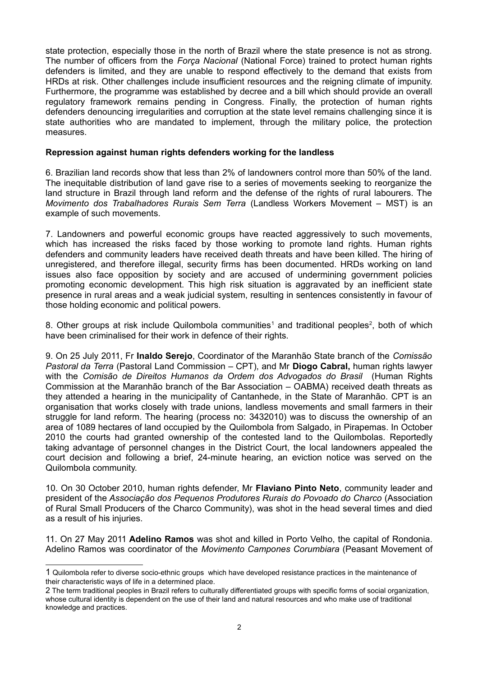state protection, especially those in the north of Brazil where the state presence is not as strong. The number of officers from the *Força Nacional* (National Force) trained to protect human rights defenders is limited, and they are unable to respond effectively to the demand that exists from HRDs at risk. Other challenges include insufficient resources and the reigning climate of impunity. Furthermore, the programme was established by decree and a bill which should provide an overall regulatory framework remains pending in Congress. Finally, the protection of human rights defenders denouncing irregularities and corruption at the state level remains challenging since it is state authorities who are mandated to implement, through the military police, the protection measures.

### **Repression against human rights defenders working for the landless**

6. Brazilian land records show that less than 2% of landowners control more than 50% of the land. The inequitable distribution of land gave rise to a series of movements seeking to reorganize the land structure in Brazil through land reform and the defense of the rights of rural labourers. The *Movimento dos Trabalhadores Rurais Sem Terra* (Landless Workers Movement – MST) is an example of such movements.

7. Landowners and powerful economic groups have reacted aggressively to such movements, which has increased the risks faced by those working to promote land rights. Human rights defenders and community leaders have received death threats and have been killed. The hiring of unregistered, and therefore illegal, security firms has been documented. HRDs working on land issues also face opposition by society and are accused of undermining government policies promoting economic development. This high risk situation is aggravated by an inefficient state presence in rural areas and a weak judicial system, resulting in sentences consistently in favour of those holding economic and political powers.

8. Other groups at risk include Quilombola communities<sup>[1](#page-1-0)</sup> and traditional peoples<sup>[2](#page-1-1)</sup>, both of which have been criminalised for their work in defence of their rights.

9. On 25 July 2011, Fr **Inaldo Serejo**, Coordinator of the Maranhão State branch of the *Comissão Pastoral da Terra* (Pastoral Land Commission – CPT), and Mr **Diogo Cabral,** human rights lawyer with the *Comisão de Direitos Humanos da Ordem dos Advogados do Brasil* (Human Rights Commission at the Maranhão branch of the Bar Association – OABMA) received death threats as they attended a hearing in the municipality of Cantanhede, in the State of Maranhão. CPT is an organisation that works closely with trade unions, landless movements and small farmers in their struggle for land reform. The hearing (process no: 3432010) was to discuss the ownership of an area of 1089 hectares of land occupied by the Quilombola from Salgado, in Pirapemas. In October 2010 the courts had granted ownership of the contested land to the Quilombolas. Reportedly taking advantage of personnel changes in the District Court, the local landowners appealed the court decision and following a brief, 24-minute hearing, an eviction notice was served on the Quilombola community.

10. On 30 October 2010, human rights defender, Mr **Flaviano Pinto Neto**, community leader and president of the *Associação dos Pequenos Produtores Rurais do Povoado do Charco* (Association of Rural Small Producers of the Charco Community), was shot in the head several times and died as a result of his injuries.

11. On 27 May 2011 **Adelino Ramos** was shot and killed in Porto Velho, the capital of Rondonia. Adelino Ramos was coordinator of the *Movimento Campones Corumbiara* (Peasant Movement of

<span id="page-1-0"></span><sup>1</sup> Quilombola refer to diverse socio-ethnic groups which have developed resistance practices in the maintenance of their characteristic ways of life in a determined place.

<span id="page-1-1"></span><sup>2</sup> The term traditional peoples in Brazil refers to culturally differentiated groups with specific forms of social organization, whose cultural identity is dependent on the use of their land and natural resources and who make use of traditional knowledge and practices.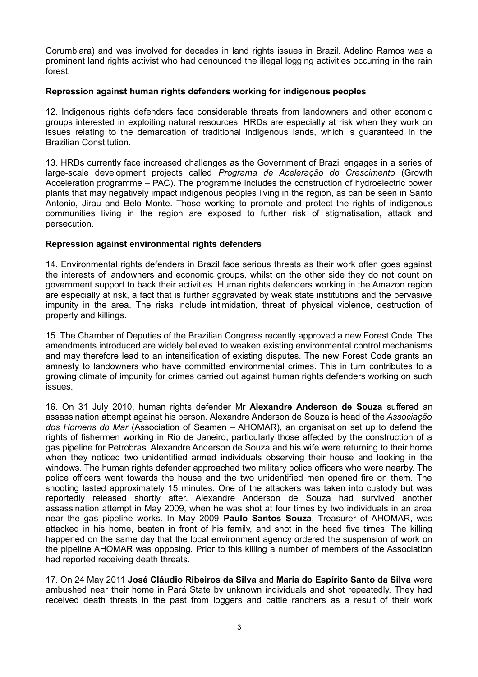Corumbiara) and was involved for decades in land rights issues in Brazil. Adelino Ramos was a prominent land rights activist who had denounced the illegal logging activities occurring in the rain forest.

### **Repression against human rights defenders working for indigenous peoples**

12. Indigenous rights defenders face considerable threats from landowners and other economic groups interested in exploiting natural resources. HRDs are especially at risk when they work on issues relating to the demarcation of traditional indigenous lands, which is guaranteed in the Brazilian Constitution.

13. HRDs currently face increased challenges as the Government of Brazil engages in a series of large-scale development projects called *Programa de Aceleração do Crescimento* (Growth Acceleration programme – PAC). The programme includes the construction of hydroelectric power plants that may negatively impact indigenous peoples living in the region, as can be seen in Santo Antonio, Jirau and Belo Monte. Those working to promote and protect the rights of indigenous communities living in the region are exposed to further risk of stigmatisation, attack and persecution.

#### **Repression against environmental rights defenders**

14. Environmental rights defenders in Brazil face serious threats as their work often goes against the interests of landowners and economic groups, whilst on the other side they do not count on government support to back their activities. Human rights defenders working in the Amazon region are especially at risk, a fact that is further aggravated by weak state institutions and the pervasive impunity in the area. The risks include intimidation, threat of physical violence, destruction of property and killings.

15. The Chamber of Deputies of the Brazilian Congress recently approved a new Forest Code. The amendments introduced are widely believed to weaken existing environmental control mechanisms and may therefore lead to an intensification of existing disputes. The new Forest Code grants an amnesty to landowners who have committed environmental crimes. This in turn contributes to a growing climate of impunity for crimes carried out against human rights defenders working on such issues.

16. On 31 July 2010, human rights defender Mr **Alexandre Anderson de Souza** suffered an assassination attempt against his person. Alexandre Anderson de Souza is head of the *Associação dos Homens do Mar* (Association of Seamen – AHOMAR), an organisation set up to defend the rights of fishermen working in Rio de Janeiro, particularly those affected by the construction of a gas pipeline for Petrobras. Alexandre Anderson de Souza and his wife were returning to their home when they noticed two unidentified armed individuals observing their house and looking in the windows. The human rights defender approached two military police officers who were nearby. The police officers went towards the house and the two unidentified men opened fire on them. The shooting lasted approximately 15 minutes. One of the attackers was taken into custody but was reportedly released shortly after. Alexandre Anderson de Souza had survived another assassination attempt in May 2009, when he was shot at four times by two individuals in an area near the gas pipeline works. In May 2009 **Paulo Santos Souza**, Treasurer of AHOMAR, was attacked in his home, beaten in front of his family, and shot in the head five times. The killing happened on the same day that the local environment agency ordered the suspension of work on the pipeline AHOMAR was opposing. Prior to this killing a number of members of the Association had reported receiving death threats.

17. On 24 May 2011 **José Cláudio Ribeiros da Silva** and **Maria do Espírito Santo da Silva** were ambushed near their home in Pará State by unknown individuals and shot repeatedly. They had received death threats in the past from loggers and cattle ranchers as a result of their work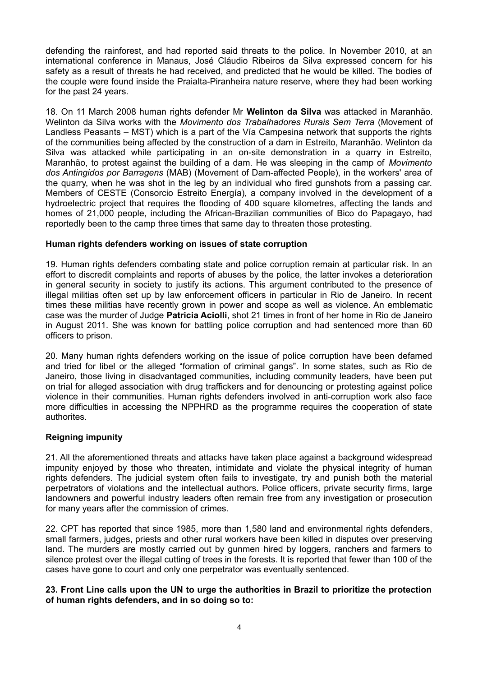defending the rainforest, and had reported said threats to the police. In November 2010, at an international conference in Manaus, José Cláudio Ribeiros da Silva expressed concern for his safety as a result of threats he had received, and predicted that he would be killed. The bodies of the couple were found inside the Praialta-Piranheira nature reserve, where they had been working for the past 24 years.

18. On 11 March 2008 human rights defender Mr **Welinton da Silva** was attacked in Maranhão. Welinton da Silva works with the *Movimento dos Trabalhadores Rurais Sem Terra* (Movement of Landless Peasants – MST) which is a part of the Vía Campesina network that supports the rights of the communities being affected by the construction of a dam in Estreito, Maranhão. Welinton da Silva was attacked while participating in an on-site demonstration in a quarry in Estreito, Maranhão, to protest against the building of a dam. He was sleeping in the camp of *Movimento dos Antingidos por Barragens* (MAB) (Movement of Dam-affected People), in the workers' area of the quarry, when he was shot in the leg by an individual who fired gunshots from a passing car. Members of CESTE (Consorcio Estreito Energía), a company involved in the development of a hydroelectric project that requires the flooding of 400 square kilometres, affecting the lands and homes of 21,000 people, including the African-Brazilian communities of Bico do Papagayo, had reportedly been to the camp three times that same day to threaten those protesting.

## **Human rights defenders working on issues of state corruption**

19. Human rights defenders combating state and police corruption remain at particular risk. In an effort to discredit complaints and reports of abuses by the police, the latter invokes a deterioration in general security in society to justify its actions. This argument contributed to the presence of illegal militias often set up by law enforcement officers in particular in Rio de Janeiro. In recent times these militias have recently grown in power and scope as well as violence. An emblematic case was the murder of Judge **Patricia Aciolli**, shot 21 times in front of her home in Rio de Janeiro in August 2011. She was known for battling police corruption and had sentenced more than 60 officers to prison.

20. Many human rights defenders working on the issue of police corruption have been defamed and tried for libel or the alleged "formation of criminal gangs". In some states, such as Rio de Janeiro, those living in disadvantaged communities, including community leaders, have been put on trial for alleged association with drug traffickers and for denouncing or protesting against police violence in their communities. Human rights defenders involved in anti-corruption work also face more difficulties in accessing the NPPHRD as the programme requires the cooperation of state authorites.

## **Reigning impunity**

21. All the aforementioned threats and attacks have taken place against a background widespread impunity enjoyed by those who threaten, intimidate and violate the physical integrity of human rights defenders. The judicial system often fails to investigate, try and punish both the material perpetrators of violations and the intellectual authors. Police officers, private security firms, large landowners and powerful industry leaders often remain free from any investigation or prosecution for many years after the commission of crimes.

22. CPT has reported that since 1985, more than 1,580 land and environmental rights defenders, small farmers, judges, priests and other rural workers have been killed in disputes over preserving land. The murders are mostly carried out by gunmen hired by loggers, ranchers and farmers to silence protest over the illegal cutting of trees in the forests. It is reported that fewer than 100 of the cases have gone to court and only one perpetrator was eventually sentenced.

#### **23. Front Line calls upon the UN to urge the authorities in Brazil to prioritize the protection of human rights defenders, and in so doing so to:**